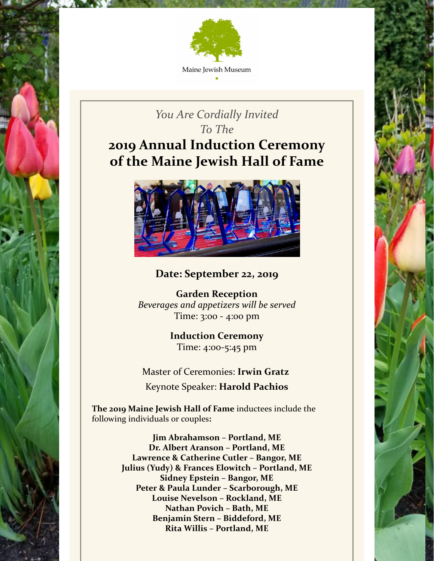

# *You Are Cordially Invited To The* **2019 Annual Induction Ceremony of the Maine Jewish Hall of Fame**



## **Date: September 22, 2019**

**Garden Reception** *Beverages and appetizers will be served* Time: 3:00 - 4:00 pm

> **Induction Ceremony** Time: 4:00-5:45 pm

Master of Ceremonies: **Irwin Gratz** Keynote Speaker: **Harold Pachios**

**The 2019 Maine Jewish Hall of Fame** inductees include the following individuals or couples**:**

> **Jim Abrahamson – Portland, ME Dr. Albert Aranson – Portland, ME Lawrence & Catherine Cutler – Bangor, ME Julius (Yudy) & Frances Elowitch – Portland, ME Sidney Epstein – Bangor, ME Peter & Paula Lunder – Scarborough, ME Louise Nevelson – Rockland, ME Nathan Povich – Bath, ME Benjamin Stern – Biddeford, ME Rita Willis – Portland, ME**